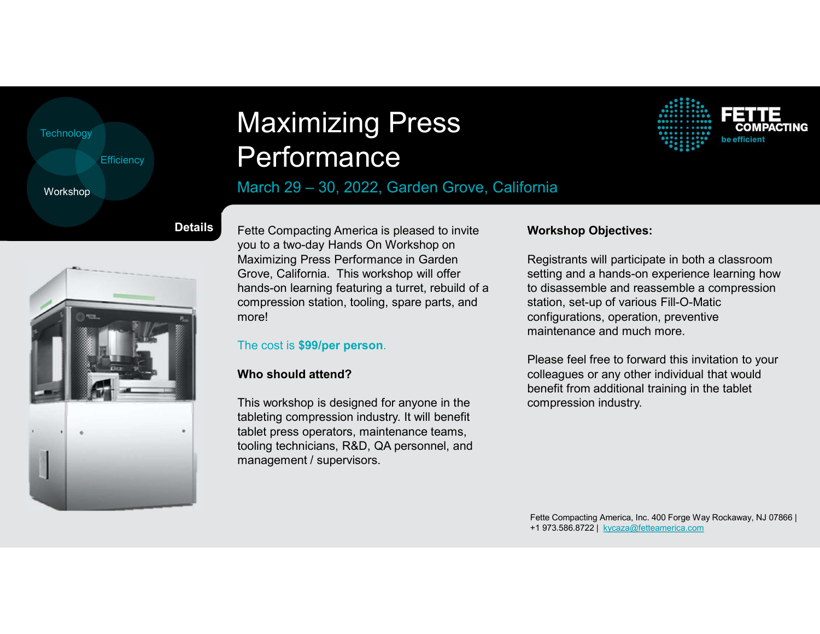| Technology        |                |      |
|-------------------|----------------|------|
| <b>Efficiency</b> |                |      |
| Workshop          |                | а    |
|                   | <b>Details</b> | Fett |

# Efficiency **Performance** Maximizing Press<br>Performance<br>March 29 – 30, 2022, Garden Grove, California Maximizing Press<br>Performance<br>March 29 – 30, 2022, Garden Grove, California<br>Fette Compacting America is pleased to invite Workshop Objectives:<br>you to a two-day Hands On Workshop on

### March 29 - 30, 2022, Garden Grove, California



**etails** Fette Compacting America is pleased to invite you to a two-day Hands On Workshop on Maximizing Press Performance in Garden Grove, California. This workshop will offer hands-on learning featuring a turret, rebuild of a compression station, tooling, spare parts, and more!

### The cost is \$99/per person.

### Who should attend?

This workshop is designed for anyone in the tableting compression industry. It will benefit tablet press operators, maintenance teams, tooling technicians, R&D, QA personnel, and management / supervisors.

### Workshop Objectives:

Registrants will participate in both a classroom setting and a hands-on experience learning how to disassemble and reassemble a compression station, set-up of various Fill-O-Matic configurations, operation, preventive maintenance and much more.

Please feel free to forward this invitation to your colleagues or any other individual that would benefit from additional training in the tablet compression industry.

Fette Compacting America, Inc. 400 Forge Way Rockaway, NJ 07866 | +1 973.586.8722 | kycaza@fetteamerica.com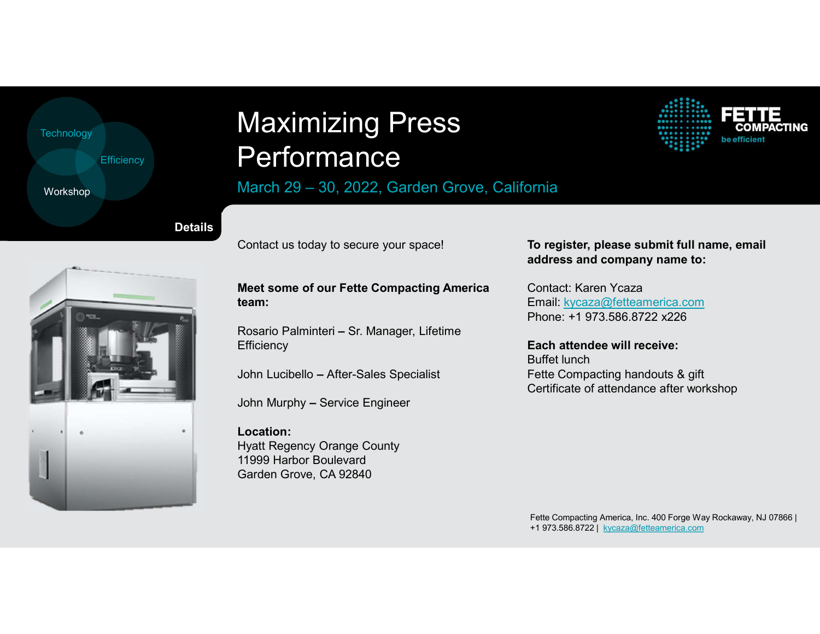| Technology |                   |                |   |
|------------|-------------------|----------------|---|
|            | <b>Efficiency</b> |                |   |
| Workshop   |                   |                | a |
|            |                   | <b>Details</b> |   |

# Efficiency **Performance** Maximizing Press<br>Performance<br>March 29 – 30, 2022, Garden Grove, California Maximizing Press<br>Performance<br>March 29 – 30, 2022, Garden Grove, California<br>Contact us today to secure your space! To register, please subl

### March 29 - 30, 2022, Garden Grove, California

Contact us today to secure your space!

Meet some of our Fette Compacting America team:

Rosario Palminteri – Sr. Manager, Lifetime **Efficiency** 

John Lucibello – After-Sales Specialist

John Murphy – Service Engineer

Location: Hyatt Regency Orange County 11999 Harbor Boulevard Garden Grove, CA 92840

### To register, please submit full name, email address and company name to:

CTING

Contact: Karen Ycaza Email: kycaza@fetteamerica.com Phone: +1 973.586.8722 x226

Each attendee will receive: Buffet lunch Fette Compacting handouts & gift Certificate of attendance after workshop

Fette Compacting America, Inc. 400 Forge Way Rockaway, NJ 07866 | +1 973.586.8722 | kycaza@fetteamerica.com